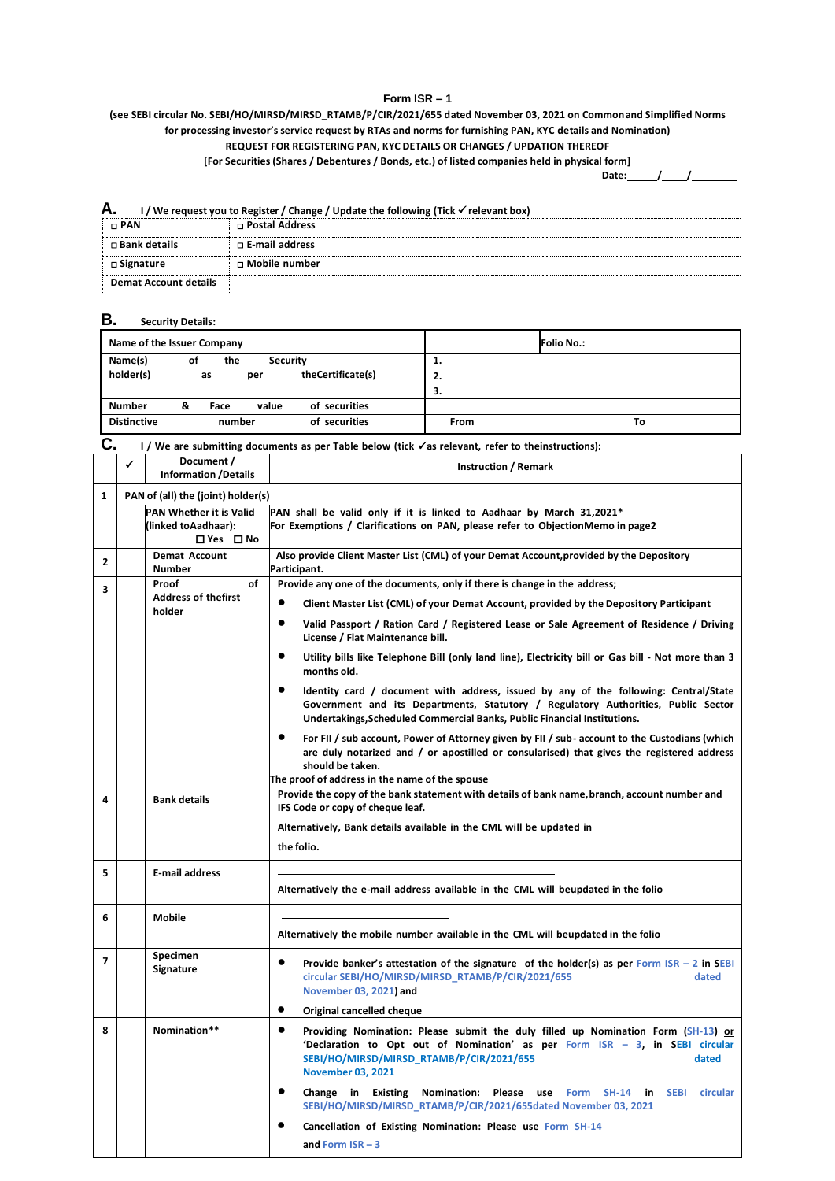## **Form ISR – 1**

**(see SEBI circular No. SEBI/HO/MIRSD/MIRSD\_RTAMB/P/CIR/2021/655 dated November 03, 2021 on Commonand Simplified Norms for processing investor's service request by RTAs and norms for furnishing PAN, KYC details and Nomination)**

## **REQUEST FOR REGISTERING PAN, KYC DETAILS OR CHANGES / UPDATION THEREOF**

**[For Securities (Shares / Debentures / Bonds, etc.) of listed companies held in physical form]**

**Date: / /**

٦

| Α.<br>I / We request you to Register / Change / Update the following (Tick √ relevant box) |                       |  |  |  |  |
|--------------------------------------------------------------------------------------------|-----------------------|--|--|--|--|
| $\Box$ PAN                                                                                 | □ Postal Address      |  |  |  |  |
| $\square$ Bank details                                                                     | $\Box$ E-mail address |  |  |  |  |
| □ Signature                                                                                | □ Mobile number       |  |  |  |  |
| <b>Demat Account details</b>                                                               |                       |  |  |  |  |

## **B. Security Details:**

|                    | Name of the Issuer Company          | <b>Folio No.:</b> |
|--------------------|-------------------------------------|-------------------|
| Name(s)            | οf<br>the<br><b>Security</b>        | 1.                |
| holder(s)          | theCertificate(s)<br>as<br>per      | 2.                |
|                    |                                     | З.                |
| <b>Number</b>      | of securities<br>value<br>&<br>Face |                   |
| <b>Distinctive</b> | of securities<br>number             | From<br>То        |

# **C. <sup>I</sup> / We are submitting documents as per Table below (tick as relevant, refer to theinstructions):**

|                | ✓ | Document /<br><b>Information /Details</b>                           | <b>Instruction / Remark</b>                                                                                                                                                                                                                                        |  |
|----------------|---|---------------------------------------------------------------------|--------------------------------------------------------------------------------------------------------------------------------------------------------------------------------------------------------------------------------------------------------------------|--|
| $\mathbf{1}$   |   | PAN of (all) the (joint) holder(s)                                  |                                                                                                                                                                                                                                                                    |  |
|                |   | <b>PAN Whether it is Valid</b><br>(linked toAadhaar):<br>□ Yes □ No | PAN shall be valid only if it is linked to Aadhaar by March 31,2021*<br>For Exemptions / Clarifications on PAN, please refer to ObjectionMemo in page2                                                                                                             |  |
| $\mathbf{2}$   |   | <b>Demat Account</b><br>Number                                      | Also provide Client Master List (CML) of your Demat Account, provided by the Depository<br>Participant.                                                                                                                                                            |  |
| 3              |   | Proof<br>οf                                                         | Provide any one of the documents, only if there is change in the address;                                                                                                                                                                                          |  |
|                |   | <b>Address of thefirst</b><br>holder                                | $\bullet$<br>Client Master List (CML) of your Demat Account, provided by the Depository Participant                                                                                                                                                                |  |
|                |   |                                                                     | $\bullet$<br>Valid Passport / Ration Card / Registered Lease or Sale Agreement of Residence / Driving<br>License / Flat Maintenance bill.                                                                                                                          |  |
|                |   |                                                                     | $\bullet$<br>Utility bills like Telephone Bill (only land line), Electricity bill or Gas bill - Not more than 3<br>months old.                                                                                                                                     |  |
|                |   |                                                                     | $\bullet$<br>Identity card / document with address, issued by any of the following: Central/State<br>Government and its Departments, Statutory / Regulatory Authorities, Public Sector<br>Undertakings, Scheduled Commercial Banks, Public Financial Institutions. |  |
|                |   |                                                                     | For FII / sub account, Power of Attorney given by FII / sub- account to the Custodians (which<br>are duly notarized and / or apostilled or consularised) that gives the registered address<br>should be taken.                                                     |  |
| 4              |   | <b>Bank details</b>                                                 | The proof of address in the name of the spouse<br>Provide the copy of the bank statement with details of bank name, branch, account number and                                                                                                                     |  |
|                |   |                                                                     | IFS Code or copy of cheque leaf.                                                                                                                                                                                                                                   |  |
|                |   |                                                                     | Alternatively, Bank details available in the CML will be updated in                                                                                                                                                                                                |  |
|                |   |                                                                     | the folio.                                                                                                                                                                                                                                                         |  |
| 5              |   | E-mail address                                                      | Alternatively the e-mail address available in the CML will beupdated in the folio                                                                                                                                                                                  |  |
| 6              |   | <b>Mobile</b>                                                       |                                                                                                                                                                                                                                                                    |  |
|                |   |                                                                     | Alternatively the mobile number available in the CML will beupdated in the folio                                                                                                                                                                                   |  |
| $\overline{ }$ |   | Specimen<br>Signature                                               | $\bullet$<br>Provide banker's attestation of the signature of the holder(s) as per Form $ISR - 2$ in SEBI<br>circular SEBI/HO/MIRSD/MIRSD_RTAMB/P/CIR/2021/655<br>dated<br>November 03, 2021) and                                                                  |  |
|                |   |                                                                     | $\bullet$<br>Original cancelled cheque                                                                                                                                                                                                                             |  |
| 8              |   | Nomination**                                                        | $\bullet$<br>Providing Nomination: Please submit the duly filled up Nomination Form (SH-13) or<br>'Declaration to Opt out of Nomination' as per Form ISR - 3, in SEBI circular<br>SEBI/HO/MIRSD/MIRSD RTAMB/P/CIR/2021/655<br>dated<br><b>November 03, 2021</b>    |  |
|                |   |                                                                     | $\bullet$<br>Change in Existing<br>Nomination: Please use<br>Form SH-14 in<br><b>SEBI</b><br>circular<br>SEBI/HO/MIRSD/MIRSD_RTAMB/P/CIR/2021/655dated November 03, 2021                                                                                           |  |
|                |   |                                                                     | Cancellation of Existing Nomination: Please use Form SH-14                                                                                                                                                                                                         |  |
|                |   |                                                                     | $and Form ISR - 3$                                                                                                                                                                                                                                                 |  |